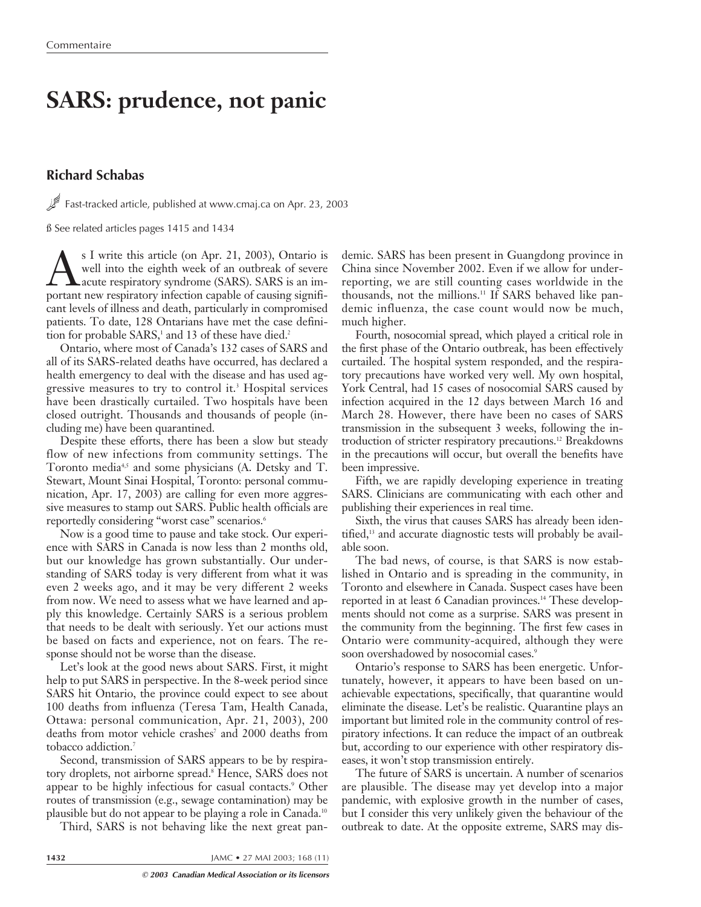# **SARS: prudence, not panic**

## **Richard Schabas**

Fast-tracked article, published at www.cmaj.ca on Apr. 23, 2003

ß See related articles pages 1415 and 1434

S I write this article (on Apr. 21, 2003), Ontario is<br>well into the eighth week of an outbreak of severe<br>nortant new respiratory infection canable of causing signifiwell into the eighth week of an outbreak of severe acute respiratory syndrome (SARS). SARS is an important new respiratory infection capable of causing significant levels of illness and death, particularly in compromised patients. To date, 128 Ontarians have met the case definition for probable  $SARS$ ,<sup>1</sup> and 13 of these have died.<sup>2</sup>

Ontario, where most of Canada's 132 cases of SARS and all of its SARS-related deaths have occurred, has declared a health emergency to deal with the disease and has used aggressive measures to try to control it.3 Hospital services have been drastically curtailed. Two hospitals have been closed outright. Thousands and thousands of people (including me) have been quarantined.

Despite these efforts, there has been a slow but steady flow of new infections from community settings. The Toronto media<sup>4,5</sup> and some physicians (A. Detsky and T. Stewart, Mount Sinai Hospital, Toronto: personal communication, Apr. 17, 2003) are calling for even more aggressive measures to stamp out SARS. Public health officials are reportedly considering "worst case" scenarios.<sup>6</sup>

Now is a good time to pause and take stock. Our experience with SARS in Canada is now less than 2 months old, but our knowledge has grown substantially. Our understanding of SARS today is very different from what it was even 2 weeks ago, and it may be very different 2 weeks from now. We need to assess what we have learned and apply this knowledge. Certainly SARS is a serious problem that needs to be dealt with seriously. Yet our actions must be based on facts and experience, not on fears. The response should not be worse than the disease.

Let's look at the good news about SARS. First, it might help to put SARS in perspective. In the 8-week period since SARS hit Ontario, the province could expect to see about 100 deaths from influenza (Teresa Tam, Health Canada, Ottawa: personal communication, Apr. 21, 2003), 200 deaths from motor vehicle crashes<sup>7</sup> and 2000 deaths from tobacco addiction.7

Second, transmission of SARS appears to be by respiratory droplets, not airborne spread.<sup>8</sup> Hence, SARS does not appear to be highly infectious for casual contacts.<sup>9</sup> Other routes of transmission (e.g., sewage contamination) may be plausible but do not appear to be playing a role in Canada.10

Third, SARS is not behaving like the next great pan-

demic. SARS has been present in Guangdong province in China since November 2002. Even if we allow for underreporting, we are still counting cases worldwide in the thousands, not the millions.11 If SARS behaved like pandemic influenza, the case count would now be much, much higher.

Fourth, nosocomial spread, which played a critical role in the first phase of the Ontario outbreak, has been effectively curtailed. The hospital system responded, and the respiratory precautions have worked very well. My own hospital, York Central, had 15 cases of nosocomial SARS caused by infection acquired in the 12 days between March 16 and March 28. However, there have been no cases of SARS transmission in the subsequent 3 weeks, following the introduction of stricter respiratory precautions.12 Breakdowns in the precautions will occur, but overall the benefits have been impressive.

Fifth, we are rapidly developing experience in treating SARS. Clinicians are communicating with each other and publishing their experiences in real time.

Sixth, the virus that causes SARS has already been identified,<sup>13</sup> and accurate diagnostic tests will probably be available soon.

The bad news, of course, is that SARS is now established in Ontario and is spreading in the community, in Toronto and elsewhere in Canada. Suspect cases have been reported in at least 6 Canadian provinces.<sup>14</sup> These developments should not come as a surprise. SARS was present in the community from the beginning. The first few cases in Ontario were community-acquired, although they were soon overshadowed by nosocomial cases.<sup>9</sup>

Ontario's response to SARS has been energetic. Unfortunately, however, it appears to have been based on unachievable expectations, specifically, that quarantine would eliminate the disease. Let's be realistic. Quarantine plays an important but limited role in the community control of respiratory infections. It can reduce the impact of an outbreak but, according to our experience with other respiratory diseases, it won't stop transmission entirely.

The future of SARS is uncertain. A number of scenarios are plausible. The disease may yet develop into a major pandemic, with explosive growth in the number of cases, but I consider this very unlikely given the behaviour of the outbreak to date. At the opposite extreme, SARS may dis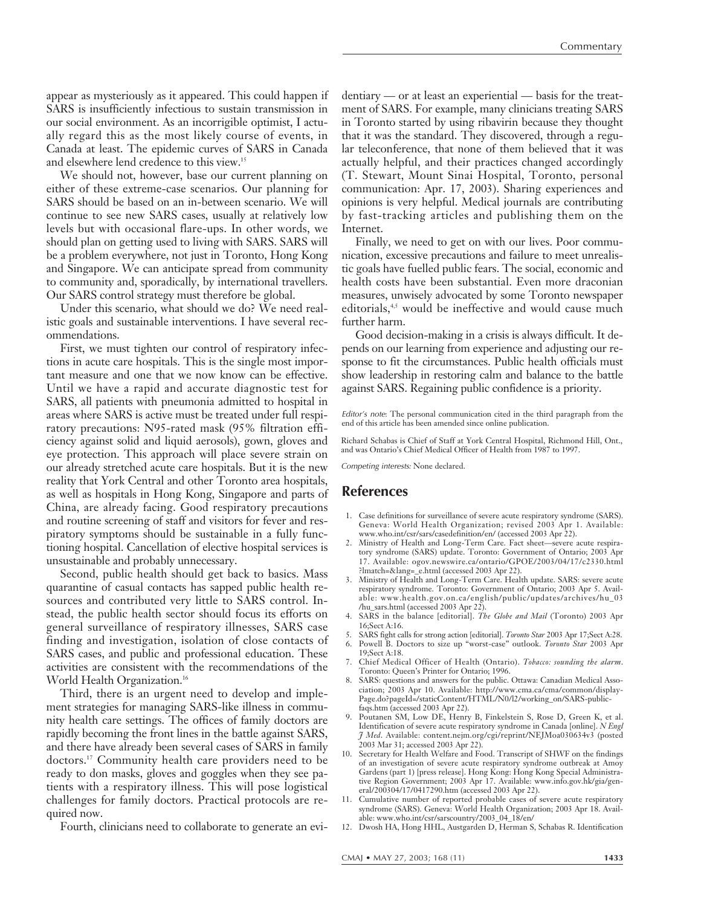appear as mysteriously as it appeared. This could happen if SARS is insufficiently infectious to sustain transmission in our social environment. As an incorrigible optimist, I actually regard this as the most likely course of events, in Canada at least. The epidemic curves of SARS in Canada and elsewhere lend credence to this view.15

We should not, however, base our current planning on either of these extreme-case scenarios. Our planning for SARS should be based on an in-between scenario. We will continue to see new SARS cases, usually at relatively low levels but with occasional flare-ups. In other words, we should plan on getting used to living with SARS. SARS will be a problem everywhere, not just in Toronto, Hong Kong and Singapore. We can anticipate spread from community to community and, sporadically, by international travellers. Our SARS control strategy must therefore be global.

Under this scenario, what should we do? We need realistic goals and sustainable interventions. I have several recommendations.

First, we must tighten our control of respiratory infections in acute care hospitals. This is the single most important measure and one that we now know can be effective. Until we have a rapid and accurate diagnostic test for SARS, all patients with pneumonia admitted to hospital in areas where SARS is active must be treated under full respiratory precautions: N95-rated mask (95% filtration efficiency against solid and liquid aerosols), gown, gloves and eye protection. This approach will place severe strain on our already stretched acute care hospitals. But it is the new reality that York Central and other Toronto area hospitals, as well as hospitals in Hong Kong, Singapore and parts of China, are already facing. Good respiratory precautions and routine screening of staff and visitors for fever and respiratory symptoms should be sustainable in a fully functioning hospital. Cancellation of elective hospital services is unsustainable and probably unnecessary.

Second, public health should get back to basics. Mass quarantine of casual contacts has sapped public health resources and contributed very little to SARS control. Instead, the public health sector should focus its efforts on general surveillance of respiratory illnesses, SARS case finding and investigation, isolation of close contacts of SARS cases, and public and professional education. These activities are consistent with the recommendations of the World Health Organization.<sup>16</sup>

Third, there is an urgent need to develop and implement strategies for managing SARS-like illness in community health care settings. The offices of family doctors are rapidly becoming the front lines in the battle against SARS, and there have already been several cases of SARS in family doctors.17 Community health care providers need to be ready to don masks, gloves and goggles when they see patients with a respiratory illness. This will pose logistical challenges for family doctors. Practical protocols are required now.

Fourth, clinicians need to collaborate to generate an evi-

dentiary — or at least an experiential — basis for the treatment of SARS. For example, many clinicians treating SARS in Toronto started by using ribavirin because they thought that it was the standard. They discovered, through a regular teleconference, that none of them believed that it was actually helpful, and their practices changed accordingly (T. Stewart, Mount Sinai Hospital, Toronto, personal communication: Apr. 17, 2003). Sharing experiences and opinions is very helpful. Medical journals are contributing by fast-tracking articles and publishing them on the Internet.

Finally, we need to get on with our lives. Poor communication, excessive precautions and failure to meet unrealistic goals have fuelled public fears. The social, economic and health costs have been substantial. Even more draconian measures, unwisely advocated by some Toronto newspaper editorials,<sup>4,5</sup> would be ineffective and would cause much further harm.

Good decision-making in a crisis is always difficult. It depends on our learning from experience and adjusting our response to fit the circumstances. Public health officials must show leadership in restoring calm and balance to the battle against SARS. Regaining public confidence is a priority.

Editor's note: The personal communication cited in the third paragraph from the end of this article has been amended since online publication.

Richard Schabas is Chief of Staff at York Central Hospital, Richmond Hill, Ont., and was Ontario's Chief Medical Officer of Health from 1987 to 1997.

Competing interests*:* None declared.

#### **References**

- 1. Case definitions for surveillance of severe acute respiratory syndrome (SARS). Geneva: World Health Organization; revised 2003 Apr 1. Available: www.who.int/csr/sars/casedefinition/en/ (accessed 2003 Apr 22).
- 2. Ministry of Health and Long-Term Care. Fact sheet—severe acute respiratory syndrome (SARS) update. Toronto: Government of Ontario; 2003 Apr 17. Available: ogov.newswire.ca/ontario/GPOE/2003/04/17/c2330.html ?lmatch=&lang=\_e.html (accessed 2003 Apr 22).
- 3. Ministry of Health and Long-Term Care. Health update. SARS: severe acute respiratory syndrome. Toronto: Government of Ontario; 2003 Apr 5. Available: www.health.gov.on.ca/english/public/updates/archives/hu\_03 /hu\_sars.html (accessed 2003 Apr 22).
- 4. SARS in the balance [editorial]. *The Globe and Mail* (Toronto) 2003 Apr 16;Sect A:16.
- 5. SARS fight calls for strong action [editorial]. *Toronto Star* 2003 Apr 17;Sect A:28. 6. Powell B. Doctors to size up "worst-case" outlook. *Toronto Star* 2003 Apr
- 19;Sect A:18. 7. Chief Medical Officer of Health (Ontario). *Tobacco: sounding the alarm*.
- Toronto: Queen's Printer for Ontario; 1996. 8. SARS: questions and answers for the public. Ottawa: Canadian Medical Association; 2003 Apr 10. Available: http://www.cma.ca/cma/common/display-Page.do?pageId=/staticContent/HTML/N0/l2/working\_on/SARS-publicfaqs.htm (accessed 2003 Apr 22).
- 9. Poutanen SM, Low DE, Henry B, Finkelstein S, Rose D, Green K, et al. Identification of severe acute respiratory syndrome in Canada [online]. *N Engl J Med*. Available: content.nejm.org/cgi/reprint/NEJMoa030634v3 (posted 2003 Mar 31; accessed 2003 Apr 22).
- 10. Secretary for Health Welfare and Food. Transcript of SHWF on the findings of an investigation of severe acute respiratory syndrome outbreak at Amoy Gardens (part 1) [press release]. Hong Kong: Hong Kong Special Administrative Region Government; 2003 Apr 17. Available: www.info.gov.hk/gia/general/200304/17/0417290.htm (accessed 2003 Apr 22).
- 11. Cumulative number of reported probable cases of severe acute respiratory syndrome (SARS). Geneva: World Health Organization; 2003 Apr 18. Available: www.who.int/csr/sarscountry/2003\_04\_18/en/
- 12. Dwosh HA, Hong HHL, Austgarden D, Herman S, Schabas R. Identification